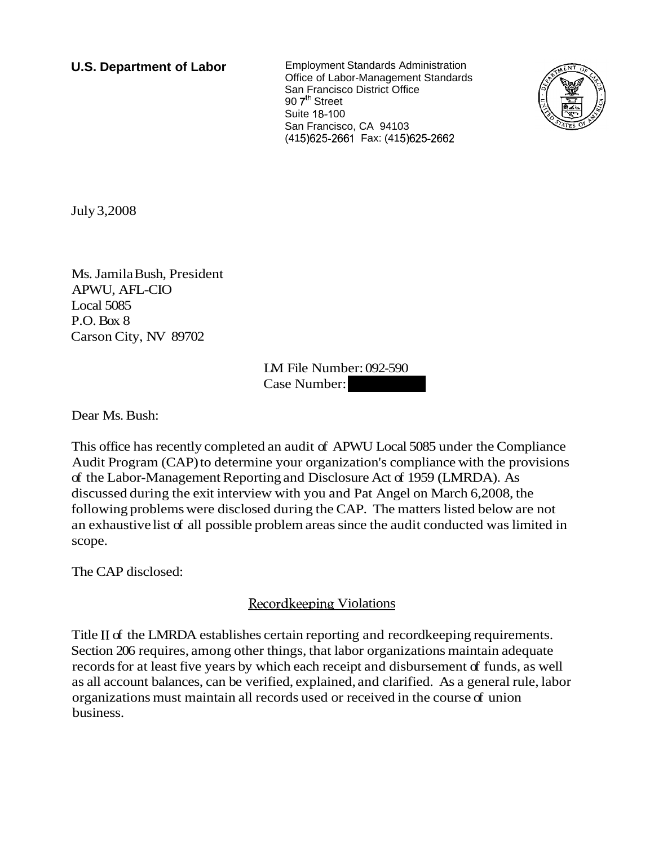**U.S. Department of Labor** Employment Standards Administration Office of Labor-Management Standards San Francisco District Office 90 7<sup>th</sup> Street Suite 18-100 San Francisco, CA 94103 (415) 625-2661 Fax: (415) 625-2662



July 3,2008

Ms. Jamila Bush, President APWU, AFL-CIO Local 5085 P.O. Box 8 Carson City, NV 89702

LM File Number: 092-590 LM File Number: 092-590<br>Case Number:<br>-

Dear Ms. Bush:

This office has recently completed an audit of APWU Local 5085 under the Compliance Audit Program (CAP) to determine your organization's compliance with the provisions of the Labor-Management Reporting and Disclosure Act of 1959 (LMRDA). As discussed during the exit interview with you and Pat Angel on March 6,2008, the following problems were disclosed during the CAP. The matters listed below are not an exhaustive list of all possible problem areas since the audit conducted was limited in scope.

The CAP disclosed:

## Recordkeeping Violations

Title II of the LMRDA establishes certain reporting and record keeping requirements. Section 206 requires, among other things, that labor organizations maintain adequate records for at least five years by which each receipt and disbursement of funds, as well as all account balances, can be verified, explained, and clarified. As a general rule, labor organizations must maintain all records used or received in the course of union business.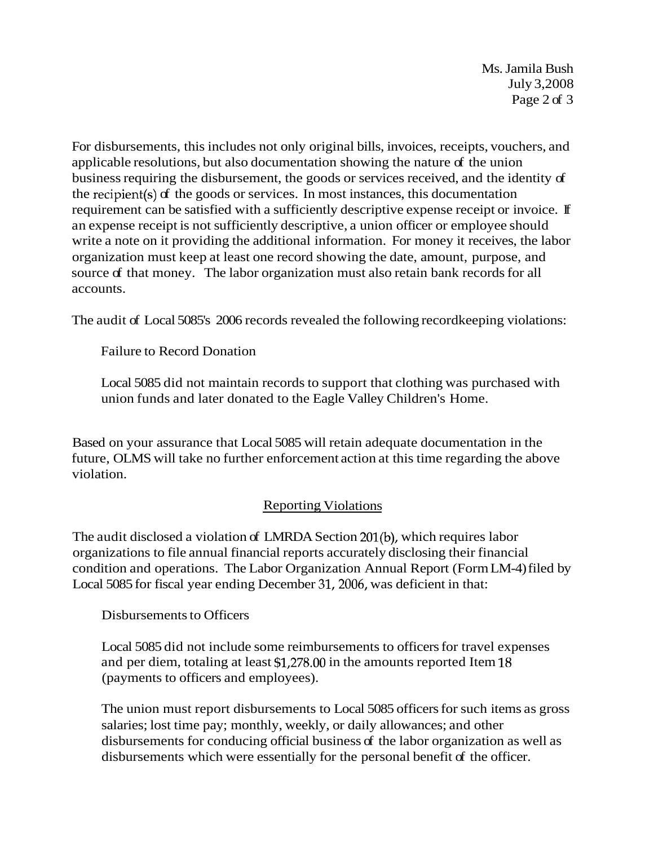Ms. Jamila Bush July 3,2008 Page 2 of 3

For disbursements, this includes not only original bills, invoices, receipts, vouchers, and applicable resolutions, but also documentation showing the nature of the union business requiring the disbursement, the goods or services received, and the identity of the recipient(s) of the goods or services. In most instances, this documentation requirement can be satisfied with a sufficiently descriptive expense receipt or invoice. If an expense receipt is not sufficiently descriptive, a union officer or employee should write a note on it providing the additional information. For money it receives, the labor organization must keep at least one record showing the date, amount, purpose, and source of that money. The labor organization must also retain bank records for all accounts.

The audit of Local 5085's 2006 records revealed the following recordkeeping violations:

Failure to Record Donation

Local 5085 did not maintain records to support that clothing was purchased with union funds and later donated to the Eagle Valley Children's Home.

Based on your assurance that Local 5085 will retain adequate documentation in the future, OLMS will take no further enforcement action at this time regarding the above violation.

## Reporting Violations

The audit disclosed a violation of LMRDA Section 201(b), which requires labor organizations to file annual financial reports accurately disclosing their financial condition and operations. The Labor Organization Annual Report (Form LM-4) filed by Local 5085 for fiscal year ending December 31,2006, was deficient in that:

Disbursements to Officers

Local 5085 did not include some reimbursements to officers for travel expenses and per diem, totaling at least \$1,278.00 in the amounts reported Item 18 (payments to officers and employees).

The union must report disbursements to Local 5085 officers for such items as gross salaries; lost time pay; monthly, weekly, or daily allowances; and other disbursements for conducing official business of the labor organization as well as disbursements which were essentially for the personal benefit of the officer.